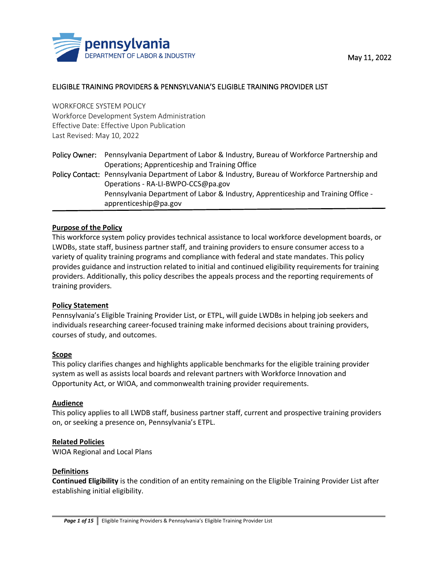

## ELIGIBLE TRAINING PROVIDERS & PENNSYLVANIA'S ELIGIBLE TRAINING PROVIDER LIST

WORKFORCE SYSTEM POLICY Workforce Development System Administration Effective Date: Effective Upon Publication Last Revised: May 10, 2022

|  | Policy Owner: Pennsylvania Department of Labor & Industry, Bureau of Workforce Partnership and   |
|--|--------------------------------------------------------------------------------------------------|
|  | Operations; Apprenticeship and Training Office                                                   |
|  | Policy Contact: Pennsylvania Department of Labor & Industry, Bureau of Workforce Partnership and |
|  | Operations - RA-LI-BWPO-CCS@pa.gov                                                               |
|  | Pennsylvania Department of Labor & Industry, Apprenticeship and Training Office -                |
|  | apprenticeship@pa.gov                                                                            |

### **Purpose of the Policy**

This workforce system policy provides technical assistance to local workforce development boards, or LWDBs, state staff, business partner staff, and training providers to ensure consumer access to a variety of quality training programs and compliance with federal and state mandates. This policy provides guidance and instruction related to initial and continued eligibility requirements for training providers. Additionally, this policy describes the appeals process and the reporting requirements of training providers.

### **Policy Statement**

Pennsylvania's Eligible Training Provider List, or ETPL, will guide LWDBs in helping job seekers and individuals researching career-focused training make informed decisions about training providers, courses of study, and outcomes.

### **Scope**

This policy clarifies changes and highlights applicable benchmarks for the eligible training provider system as well as assists local boards and relevant partners with Workforce Innovation and Opportunity Act, or WIOA, and commonwealth training provider requirements.

### **Audience**

This policy applies to all LWDB staff, business partner staff, current and prospective training providers on, or seeking a presence on, Pennsylvania's ETPL.

### **Related Policies**

WIOA Regional and Local Plans

### **Definitions**

**Continued Eligibility** is the condition of an entity remaining on the Eligible Training Provider List after establishing initial eligibility.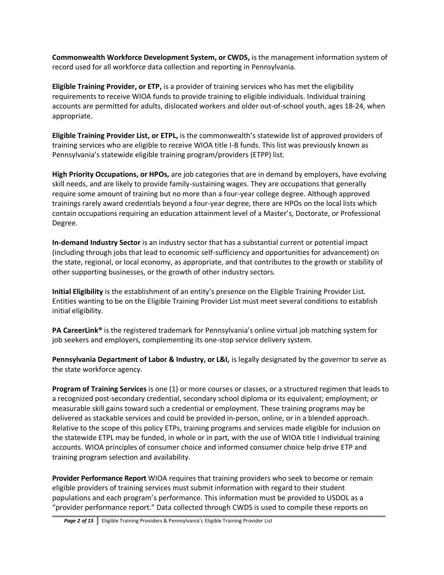**Commonwealth Workforce Development System, or CWDS,** is the management information system of record used for all workforce data collection and reporting in Pennsylvania.

**Eligible Training Provider, or ETP,** is a provider of training services who has met the eligibility requirements to receive WIOA funds to provide training to eligible individuals. Individual training accounts are permitted for adults, dislocated workers and older out-of-school youth, ages 18-24, when appropriate.

**Eligible Training Provider List, or ETPL,** is the commonwealth's statewide list of approved providers of training services who are eligible to receive WIOA title I-B funds. This list was previously known as Pennsylvania's statewide eligible training program/providers (ETPP) list.

**High Priority Occupations, or HPOs,** are job categories that are in demand by employers, have evolving skill needs, and are likely to provide family-sustaining wages. They are occupations that generally require some amount of training but no more than a four-year college degree. Although approved trainings rarely award credentials beyond a four-year degree, there are HPOs on the local lists which contain occupations requiring an education attainment level of a Master's, Doctorate, or Professional Degree.

**In-demand Industry Sector** is an industry sector that has a substantial current or potential impact (including through jobs that lead to economic self-sufficiency and opportunities for advancement) on the state, regional, or local economy, as appropriate, and that contributes to the growth or stability of other supporting businesses, or the growth of other industry sectors.

**Initial Eligibility** is the establishment of an entity's presence on the Eligible Training Provider List. Entities wanting to be on the Eligible Training Provider List must meet several conditions to establish initial eligibility.

**PA CareerLink®** is the registered trademark for Pennsylvania's online virtual job matching system for job seekers and employers, complementing its one-stop service delivery system.

**Pennsylvania Department of Labor & Industry, or L&I,** is legally designated by the governor to serve as the state workforce agency.

**Program of Training Services** is one (1) or more courses or classes, or a structured regimen that leads to a recognized post-secondary credential, secondary school diploma or its equivalent; employment; or measurable skill gains toward such a credential or employment. These training programs may be delivered as stackable services and could be provided in-person, online, or in a blended approach. Relative to the scope of this policy ETPs, training programs and services made eligible for inclusion on the statewide ETPL may be funded, in whole or in part, with the use of WIOA title I individual training accounts. WIOA principles of consumer choice and informed consumer choice help drive ETP and training program selection and availability.

**Provider Performance Report** WIOA requires that training providers who seek to become or remain eligible providers of training services must submit information with regard to their student populations and each program's performance. This information must be provided to USDOL as a "provider performance report." Data collected through CWDS is used to compile these reports on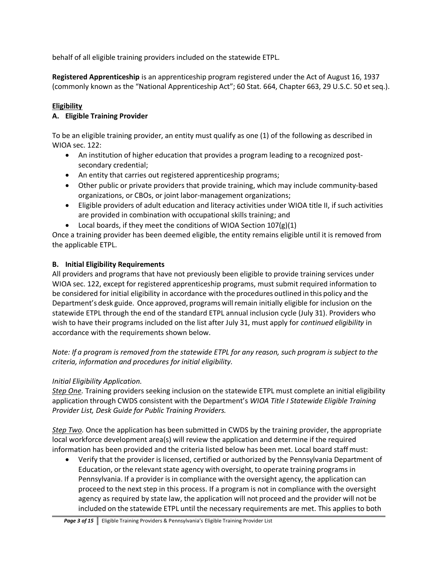behalf of all eligible training providers included on the statewide ETPL.

**Registered Apprenticeship** is an apprenticeship program registered under the Act of August 16, 1937 (commonly known as the "National Apprenticeship Act"; 60 Stat. 664, Chapter 663, 29 U.S.C. 50 et seq.).

# **Eligibility**

# **A. Eligible Training Provider**

To be an eligible training provider, an entity must qualify as one (1) of the following as described in WIOA sec. 122:

- An institution of higher education that provides a program leading to a recognized postsecondary credential;
- An entity that carries out registered apprenticeship programs;
- Other public or private providers that provide training, which may include community-based organizations, or CBOs, or joint labor-management organizations;
- Eligible providers of adult education and literacy activities under WIOA title II, if such activities are provided in combination with occupational skills training; and
- Local boards, if they meet the conditions of WIOA Section  $107(g)(1)$

Once a training provider has been deemed eligible, the entity remains eligible until it is removed from the applicable ETPL.

## **B. Initial Eligibility Requirements**

All providers and programs that have not previously been eligible to provide training services under WIOA sec. 122, except for registered apprenticeship programs, must submit required information to be considered for initial eligibility in accordance with the procedures outlined in this policy and the Department's desk guide. Once approved, programs willremain initially eligible for inclusion on the statewide ETPL through the end of the standard ETPL annual inclusion cycle (July 31). Providers who wish to have their programs included on the list after July 31, must apply for *continued eligibility* in accordance with the requirements shown below.

*Note: If a program is removed from the statewide ETPL for any reason, such program is subject to the criteria, information and procedures for initial eligibility.*

## *Initial Eligibility Application.*

*Step One.* Training providers seeking inclusion on the statewide ETPL must complete an initial eligibility application through CWDS consistent with the Department's *WIOA Title I Statewide Eligible Training Provider List, Desk Guide for Public Training Providers.*

*Step Two.* Once the application has been submitted in CWDS by the training provider, the appropriate local workforce development area(s) will review the application and determine if the required information has been provided and the criteria listed below has been met. Local board staffmust:

• Verify that the provider is licensed, certified or authorized by the Pennsylvania Department of Education, or the relevant state agency with oversight, to operate training programs in Pennsylvania. If a provider is in compliance with the oversight agency, the application can proceed to the next step in this process. If a program is not in compliance with the oversight agency as required by state law, the application will not proceed and the provider will not be included on the statewide ETPL until the necessary requirements are met. This applies to both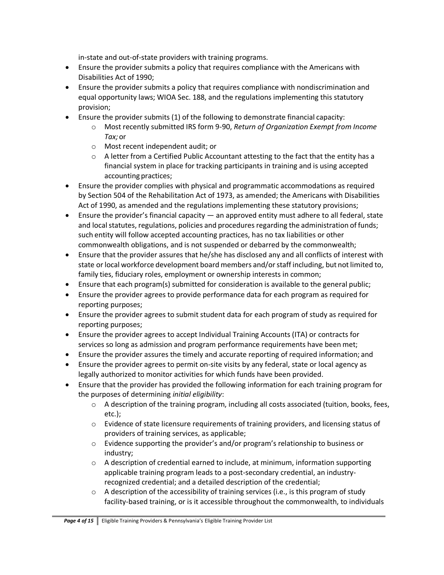in-state and out-of-state providers with training programs.

- Ensure the provider submits a policy that requires compliance with the Americans with Disabilities Act of 1990;
- Ensure the provider submits a policy that requires compliance with nondiscrimination and equal opportunity laws; WIOA Sec. 188, and the regulations implementing this statutory provision;
- Ensure the provider submits (1) of the following to demonstrate financial capacity:
	- o Most recently submitted IRS form 9-90, *Return of Organization Exempt from Income Tax;*or
	- o Most recent independent audit; or
	- $\circ$  A letter from a Certified Public Accountant attesting to the fact that the entity has a financial system in place for tracking participants in training and is using accepted accounting practices;
- Ensure the provider complies with physical and programmatic accommodations as required by Section 504 of the Rehabilitation Act of 1973, as amended; the Americans with Disabilities Act of 1990, as amended and the regulations implementing these statutory provisions;
- Ensure the provider's financial capacity an approved entity must adhere to all federal, state and local statutes, regulations, policies and procedures regarding the administration of funds; such entity will follow accepted accounting practices, has no tax liabilities or other commonwealth obligations, and is not suspended or debarred by the commonwealth;
- Ensure that the provider assures that he/she has disclosed any and all conflicts of interest with state or local workforce development board members and/or staff including, but not limited to, family ties, fiduciary roles, employment or ownership interests in common;
- Ensure that each program(s) submitted for consideration is available to the general public;
- Ensure the provider agrees to provide performance data for each program as required for reporting purposes;
- Ensure the provider agrees to submit student data for each program of study as required for reporting purposes;
- Ensure the provider agrees to accept Individual Training Accounts (ITA) or contracts for services so long as admission and program performance requirements have been met;
- Ensure the provider assures the timely and accurate reporting of required information; and
- Ensure the provider agrees to permit on-site visits by any federal, state or local agency as legally authorized to monitor activities for which funds have been provided.
- Ensure that the provider has provided the following information for each training program for the purposes of determining *initial eligibility*:
	- $\circ$  A description of the training program, including all costs associated (tuition, books, fees, etc.);
	- $\circ$  Evidence of state licensure requirements of training providers, and licensing status of providers of training services, as applicable;
	- o Evidence supporting the provider's and/or program's relationship to business or industry;
	- o A description of credential earned to include, at minimum, information supporting applicable training program leads to a post-secondary credential, an industryrecognized credential; and a detailed description of the credential;
	- $\circ$  A description of the accessibility of training services (i.e., is this program of study facility-based training, or is it accessible throughout the commonwealth, to individuals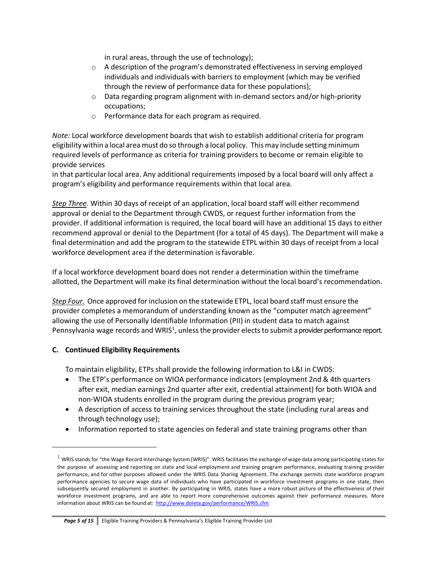in rural areas, through the use of technology);

- o A description of the program's demonstrated effectiveness in serving employed individuals and individuals with barriers to employment (which may be verified through the review of performance data for these populations);
- $\circ$  Data regarding program alignment with in-demand sectors and/or high-priority occupations;
- o Performance data for each program as required.

*Note:* Local workforce development boards that wish to establish additional criteria for program eligibility within a local area must do so through a local policy. Thismay include setting minimum required levels of performance as criteria for training providers to become or remain eligible to provide services

in that particular local area. Any additional requirements imposed by a local board will only affect a program's eligibility and performance requirements within that local area.

*Step Three*. Within 30 days of receipt of an application, local board staff will either recommend approval or denial to the Department through CWDS, or request further information from the provider. If additional information is required, the local board will have an additional 15 days to either recommend approval or denial to the Department (for a total of 45 days). The Department will make a final determination and add the program to the statewide ETPL within 30 days of receipt from a local workforce development area if the determination is favorable.

If a local workforce development board does not render a determination within the timeframe allotted, the Department will make its final determination without the local board's recommendation.

*Step Four.* Once approved for inclusion on the statewide ETPL, local board staff must ensure the provider completes a memorandum of understanding known as the "computer match agreement" allowing the use of Personally Identifiable Information (PII) in student data to match against Pennsylvania wage records and WRIS<sup>1</sup>, unless the provider elects to submit a provider performance report.

## **C. Continued Eligibility Requirements**

To maintain eligibility, ETPs shall provide the following information to L&I in CWDS:

- The ETP's performance on WIOA performance indicators (employment 2nd & 4th quarters after exit, median earnings 2nd quarter after exit, credential attainment) for both WIOA and non-WIOA students enrolled in the program during the previous program year;
- A description of access to training services throughout the state (including rural areas and through technology use);
- Information reported to state agencies on federal and state training programs other than

 $^1$  WRIS stands for "the Wage Record Interchange System (WRIS)". WRIS facilitates the exchange of wage data among participating states for the purpose of assessing and reporting on state and local employment and training program performance, evaluating training provider performance, and for other purposes allowed under the WRIS Data Sharing Agreement. The exchange permits state workforce program performance agencies to secure wage data of individuals who have participated in workforce investment programs in one state, then subsequently secured employment in another. By participating in WRIS, states have a more robust picture of the effectiveness of their workforce investment programs, and are able to report more comprehensive outcomes against their performance measures. More information about WRIS can be found at: <http://www.doleta.gov/performance/WRIS.cfm>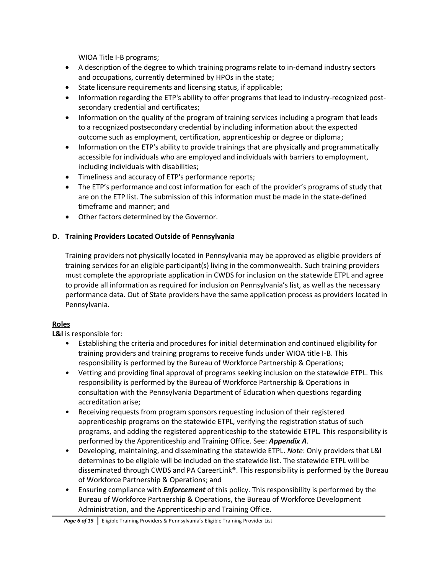WIOA Title I-B programs;

- A description of the degree to which training programs relate to in-demand industry sectors and occupations, currently determined by HPOs in the state;
- State licensure requirements and licensing status, if applicable;
- Information regarding the ETP's ability to offer programs that lead to industry-recognized postsecondary credential and certificates;
- Information on the quality of the program of training services including a program that leads to a recognized postsecondary credential by including information about the expected outcome such as employment, certification, apprenticeship or degree or diploma;
- Information on the ETP's ability to provide trainings that are physically and programmatically accessible for individuals who are employed and individuals with barriers to employment, including individuals with disabilities;
- Timeliness and accuracy of ETP's performance reports;
- The ETP's performance and cost information for each of the provider's programs of study that are on the ETP list. The submission of this information must be made in the state-defined timeframe and manner; and
- Other factors determined by the Governor.

# **D. Training Providers Located Outside of Pennsylvania**

Training providers not physically located in Pennsylvania may be approved as eligible providers of training services for an eligible participant(s) living in the commonwealth. Such training providers must complete the appropriate application in CWDS for inclusion on the statewide ETPL and agree to provide all information as required for inclusion on Pennsylvania's list, as well as the necessary performance data. Out of State providers have the same application process as providers located in Pennsylvania.

# **Roles**

**L&I** is responsible for:

- Establishing the criteria and procedures for initial determination and continued eligibility for training providers and training programs to receive funds under WIOA title I-B. This responsibility is performed by the Bureau of Workforce Partnership & Operations;
- Vetting and providing final approval of programs seeking inclusion on the statewide ETPL. This responsibility is performed by the Bureau of Workforce Partnership & Operations in consultation with the Pennsylvania Department of Education when questions regarding accreditation arise;
- Receiving requests from program sponsors requesting inclusion of their registered apprenticeship programs on the statewide ETPL, verifying the registration status of such programs, and adding the registered apprenticeship to the statewide ETPL. This responsibility is performed by the Apprenticeship and Training Office. See: *Appendix A*.
- Developing, maintaining, and disseminating the statewide ETPL. *Note*: Only providers that L&I determines to be eligible will be included on the statewide list. The statewide ETPL will be disseminated through CWDS and PA CareerLink®. This responsibility is performed by the Bureau of Workforce Partnership & Operations; and
- Ensuring compliance with *Enforcement* of this policy. This responsibility is performed by the Bureau of Workforce Partnership & Operations, the Bureau of Workforce Development Administration, and the Apprenticeship and Training Office.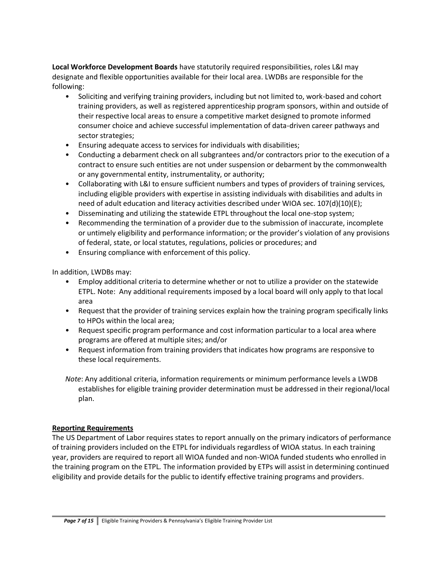**Local Workforce Development Boards** have statutorily required responsibilities, roles L&I may designate and flexible opportunities available for their local area. LWDBs are responsible for the following:

- Soliciting and verifying training providers, including but not limited to, work-based and cohort training providers, as well as registered apprenticeship program sponsors, within and outside of their respective local areas to ensure a competitive market designed to promote informed consumer choice and achieve successful implementation of data-driven career pathways and sector strategies;
- Ensuring adequate access to services for individuals with disabilities;
- Conducting a debarment check on all subgrantees and/or contractors prior to the execution of a contract to ensure such entities are not under suspension or debarment by the commonwealth or any governmental entity, instrumentality, or authority;
- Collaborating with L&I to ensure sufficient numbers and types of providers of training services, including eligible providers with expertise in assisting individuals with disabilities and adults in need of adult education and literacy activities described under WIOA sec. 107(d)(10)(E);
- Disseminating and utilizing the statewide ETPL throughout the local one-stop system;
- Recommending the termination of a provider due to the submission of inaccurate, incomplete or untimely eligibility and performance information; or the provider's violation of any provisions of federal, state, or local statutes, regulations, policies or procedures; and
- Ensuring compliance with enforcement of this policy.

In addition, LWDBs may:

- Employ additional criteria to determine whether or not to utilize a provider on the statewide ETPL. Note: Any additional requirements imposed by a local board will only apply to that local area
- Request that the provider of training services explain how the training program specifically links to HPOs within the local area;
- Request specific program performance and cost information particular to a local area where programs are offered at multiple sites; and/or
- Request information from training providers that indicates how programs are responsive to these local requirements.

*Note*: Any additional criteria, information requirements or minimum performance levels a LWDB establishes for eligible training provider determination must be addressed in their regional/local plan.

### **Reporting Requirements**

The US Department of Labor requires states to report annually on the primary indicators of performance of training providers included on the ETPL for individuals regardless of WIOA status. In each training year, providers are required to report all WIOA funded and non-WIOA funded students who enrolled in the training program on the ETPL*.* The information provided by ETPs will assist in determining continued eligibility and provide details for the public to identify effective training programs and providers.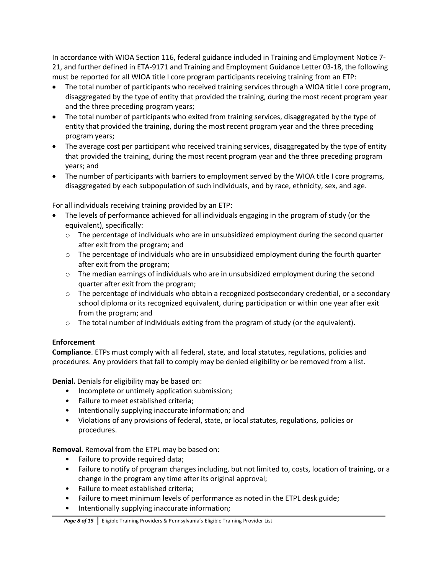In accordance with WIOA Section 116, federal guidance included in Training and Employment Notice 7- 21, and further defined in ETA-9171 and Training and Employment Guidance Letter 03-18, the following must be reported for all WIOA title I core program participants receiving training from an ETP:

- The total number of participants who received training services through a WIOA title I core program, disaggregated by the type of entity that provided the training, during the most recent program year and the three preceding program years;
- The total number of participants who exited from training services, disaggregated by the type of entity that provided the training, during the most recent program year and the three preceding program years;
- The average cost per participant who received training services, disaggregated by the type of entity that provided the training, during the most recent program year and the three preceding program years; and
- The number of participants with barriers to employment served by the WIOA title I core programs, disaggregated by each subpopulation of such individuals, and by race, ethnicity, sex, and age.

For all individuals receiving training provided by an ETP:

- The levels of performance achieved for all individuals engaging in the program of study (or the equivalent), specifically:
	- $\circ$  The percentage of individuals who are in unsubsidized employment during the second quarter after exit from the program; and
	- $\circ$  The percentage of individuals who are in unsubsidized employment during the fourth quarter after exit from the program;
	- $\circ$  The median earnings of individuals who are in unsubsidized employment during the second quarter after exit from the program;
	- $\circ$  The percentage of individuals who obtain a recognized postsecondary credential, or a secondary school diploma or its recognized equivalent, during participation or within one year after exit from the program; and
	- $\circ$  The total number of individuals exiting from the program of study (or the equivalent).

## **Enforcement**

**Compliance**. ETPs must comply with all federal, state, and local statutes, regulations, policies and procedures. Any providers that fail to comply may be denied eligibility or be removed from a list.

**Denial.** Denials for eligibility may be based on:

- Incomplete or untimely application submission;
- Failure to meet established criteria;
- Intentionally supplying inaccurate information; and
- Violations of any provisions of federal, state, or local statutes, regulations, policies or procedures.

**Removal.** Removal from the ETPL may be based on:

- Failure to provide required data;
- Failure to notify of program changes including, but not limited to, costs, location of training, or a change in the program any time after its original approval;
- Failure to meet established criteria;
- Failure to meet minimum levels of performance as noted in the ETPL desk guide;
- Intentionally supplying inaccurate information;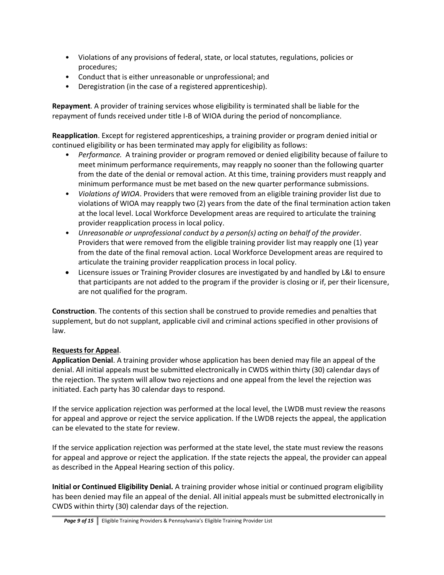- Violations of any provisions of federal, state, or local statutes, regulations, policies or procedures;
- Conduct that is either unreasonable or unprofessional; and
- Deregistration (in the case of a registered apprenticeship).

**Repayment**. A provider of training services whose eligibility is terminated shall be liable for the repayment of funds received under title I-B of WIOA during the period of noncompliance.

**Reapplication**. Except for registered apprenticeships, a training provider or program denied initial or continued eligibility or has been terminated may apply for eligibility as follows:

- *Performance.* A training provider or program removed or denied eligibility because of failure to meet minimum performance requirements, may reapply no sooner than the following quarter from the date of the denial or removal action. At this time, training providers must reapply and minimum performance must be met based on the new quarter performance submissions.
- *Violations of WIOA*. Providers that were removed from an eligible training provider list due to violations of WIOA may reapply two (2) years from the date of the final termination action taken at the local level. Local Workforce Development areas are required to articulate the training provider reapplication process in local policy.
- *Unreasonable or unprofessional conduct by a person(s) acting on behalf of the provider*. Providers that were removed from the eligible training provider list may reapply one (1) year from the date of the final removal action. Local Workforce Development areas are required to articulate the training provider reapplication process in local policy.
- Licensure issues or Training Provider closures are investigated by and handled by L&I to ensure that participants are not added to the program if the provider is closing or if, per their licensure, are not qualified for the program.

**Construction**. The contents of this section shall be construed to provide remedies and penalties that supplement, but do not supplant, applicable civil and criminal actions specified in other provisions of law.

## **Requests for Appeal**.

**Application Denial**. A training provider whose application has been denied may file an appeal of the denial. All initial appeals must be submitted electronically in CWDS within thirty (30) calendar days of the rejection. The system will allow two rejections and one appeal from the level the rejection was initiated. Each party has 30 calendar days to respond.

If the service application rejection was performed at the local level, the LWDB must review the reasons for appeal and approve or reject the service application. If the LWDB rejects the appeal, the application can be elevated to the state for review.

If the service application rejection was performed at the state level, the state must review the reasons for appeal and approve or reject the application. If the state rejects the appeal, the provider can appeal as described in the Appeal Hearing section of this policy.

**Initial or Continued Eligibility Denial.** A training provider whose initial or continued program eligibility has been denied may file an appeal of the denial. All initial appeals must be submitted electronically in CWDS within thirty (30) calendar days of the rejection.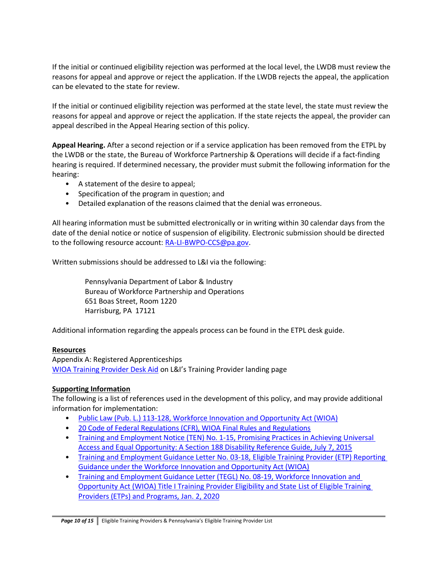If the initial or continued eligibility rejection was performed at the local level, the LWDB must review the reasons for appeal and approve or reject the application. If the LWDB rejects the appeal, the application can be elevated to the state for review.

If the initial or continued eligibility rejection was performed at the state level, the state must review the reasons for appeal and approve or reject the application. If the state rejects the appeal, the provider can appeal described in the Appeal Hearing section of this policy.

**Appeal Hearing.** After a second rejection or if a service application has been removed from the ETPL by the LWDB or the state, the Bureau of Workforce Partnership & Operations will decide if a fact-finding hearing is required. If determined necessary, the provider must submit the following information for the hearing:

- A statement of the desire to appeal;
- Specification of the program in question; and
- Detailed explanation of the reasons claimed that the denial was erroneous.

All hearing information must be submitted electronically or in writing within 30 calendar days from the date of the denial notice or notice of suspension of eligibility. Electronic submission should be directed to the following resource account: [RA-LI-BWPO-CCS@pa.gov.](mailto:RA-LI-BWPO-CCS@pa.gov)

Written submissions should be addressed to L&I via the following:

Pennsylvania Department of Labor & Industry Bureau of Workforce Partnership and Operations 651 Boas Street, Room 1220 Harrisburg, PA 17121

Additional information regarding the appeals process can be found in the ETPL desk guide.

### **Resources**

Appendix A: Registered Apprenticeships [WIOA Training Provider Desk Aid](https://www.pacareerlink.pa.gov/jponline/Common/LandingPage/Provider) on L&I's Training Provider landing page

## **Supporting Information**

The following is a list of references used in the development of this policy, and may provide additional information for implementation:

- [Public Law \(Pub. L.\) 113-128, Workforce Innovation and Opportunity Act \(WIOA\)](https://www.gpo.gov/fdsys/pkg/PLAW-113publ128/pdf/PLAW-113publ128.pdf)
- [20 Code of Federal Regulations \(CFR\), WIOA Final Rules and Regulations](https://www.gpo.gov/fdsys/pkg/FR-2016-08-19/pdf/2016-15975.pdf)
- Training and Employment Notice (TEN) No. 1-15, Promising Practices in Achieving Universal [Access and Equal Opportunity: A Section 188 Disability Reference Guide, July 7, 2015](https://wdr.doleta.gov/directives/corr_doc.cfm?DOCN=3182)
- Training and Employment Guidance Letter No. 03-18, Eligible Training Provider (ETP) Reporting [Guidance under the Workforce Innovation and Opportunity Act \(WIOA\)](https://wdr.doleta.gov/directives/corr_doc.cfm?DOCN=3527)
- [Training and Employment Guidance Letter \(TEGL\) No. 08-19, Workforce Innovation and](https://wdr.doleta.gov/directives/corr_doc.cfm?DOCN=5389)  [Opportunity Act \(WIOA\) Title I Training Provider Eligibility and State List of Eligible Training](https://wdr.doleta.gov/directives/corr_doc.cfm?DOCN=5389)  [Providers \(ETPs\) and Programs,](https://wdr.doleta.gov/directives/corr_doc.cfm?DOCN=5389) Jan. 2, 2020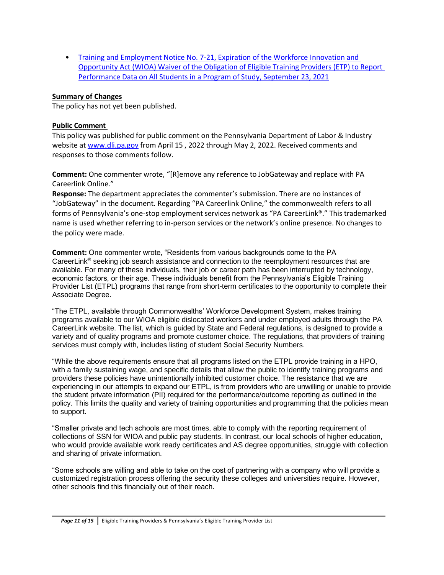• [Training and Employment Notice No. 7-21, Expiration of the Workforce Innovation and](https://wdr.doleta.gov/directives/corr_doc.cfm?docn=3124)  [Opportunity Act \(WIOA\) Waiver of the Obligation of Eligible Training Providers \(ETP\) to Report](https://wdr.doleta.gov/directives/corr_doc.cfm?docn=3124)  [Performance Data on All Students in a Program of Study, September 23, 2021](https://wdr.doleta.gov/directives/corr_doc.cfm?docn=3124)

### **Summary of Changes**

The policy has not yet been published.

### **Public Comment**

This policy was published for public comment on the Pennsylvania Department of Labor & Industry website at [www.dli.pa.gov](http://www.dli.pa.gov/) from April 15, 2022 through May 2, 2022. Received comments and responses to those comments follow.

**Comment:** One commenter wrote, "[R]emove any reference to JobGateway and replace with PA Careerlink Online."

**Response:** The department appreciates the commenter's submission. There are no instances of "JobGateway" in the document. Regarding "PA Careerlink Online," the commonwealth refers to all forms of Pennsylvania's one-stop employment services network as "PA CareerLink®." This trademarked name is used whether referring to in-person services or the network's online presence. No changes to the policy were made.

**Comment:** One commenter wrote, "Residents from various backgrounds come to the PA CareerLink® seeking job search assistance and connection to the reemployment resources that are available. For many of these individuals, their job or career path has been interrupted by technology, economic factors, or their age. These individuals benefit from the Pennsylvania's Eligible Training Provider List (ETPL) programs that range from short-term certificates to the opportunity to complete their Associate Degree.

"The ETPL, available through Commonwealths' Workforce Development System, makes training programs available to our WIOA eligible dislocated workers and under employed adults through the PA CareerLink website. The list, which is guided by State and Federal regulations, is designed to provide a variety and of quality programs and promote customer choice. The regulations, that providers of training services must comply with, includes listing of student Social Security Numbers.

"While the above requirements ensure that all programs listed on the ETPL provide training in a HPO, with a family sustaining wage, and specific details that allow the public to identify training programs and providers these policies have unintentionally inhibited customer choice. The resistance that we are experiencing in our attempts to expand our ETPL, is from providers who are unwilling or unable to provide the student private information (PII) required for the performance/outcome reporting as outlined in the policy. This limits the quality and variety of training opportunities and programming that the policies mean to support.

"Smaller private and tech schools are most times, able to comply with the reporting requirement of collections of SSN for WIOA and public pay students. In contrast, our local schools of higher education, who would provide available work ready certificates and AS degree opportunities, struggle with collection and sharing of private information.

"Some schools are willing and able to take on the cost of partnering with a company who will provide a customized registration process offering the security these colleges and universities require. However, other schools find this financially out of their reach.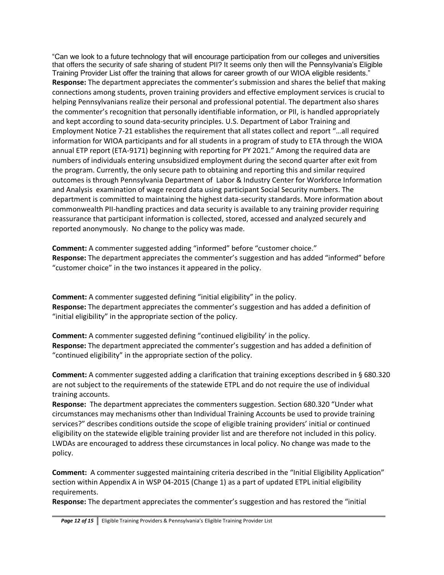"Can we look to a future technology that will encourage participation from our colleges and universities that offers the security of safe sharing of student PII? It seems only then will the Pennsylvania's Eligible Training Provider List offer the training that allows for career growth of our WIOA eligible residents." **Response:** The department appreciates the commenter's submission and shares the belief that making connections among students, proven training providers and effective employment services is crucial to helping Pennsylvanians realize their personal and professional potential. The department also shares the commenter's recognition that personally identifiable information, or PII, is handled appropriately and kept according to sound data-security principles. U.S. Department of Labor Training and Employment Notice 7-21 establishes the requirement that all states collect and report "…all required information for WIOA participants and for all students in a program of study to ETA through the WIOA annual ETP report (ETA-9171) beginning with reporting for PY 2021." Among the required data are numbers of individuals entering unsubsidized employment during the second quarter after exit from the program. Currently, the only secure path to obtaining and reporting this and similar required outcomes is through Pennsylvania Department of Labor & Industry Center for Workforce Information and Analysis examination of wage record data using participant Social Security numbers. The department is committed to maintaining the highest data-security standards. More information about commonwealth PII-handling practices and data security is available to any training provider requiring reassurance that participant information is collected, stored, accessed and analyzed securely and reported anonymously. No change to the policy was made.

**Comment:** A commenter suggested adding "informed" before "customer choice." **Response:** The department appreciates the commenter's suggestion and has added "informed" before "customer choice" in the two instances it appeared in the policy.

**Comment:** A commenter suggested defining "initial eligibility" in the policy. **Response:** The department appreciates the commenter's suggestion and has added a definition of "initial eligibility" in the appropriate section of the policy.

**Comment:** A commenter suggested defining "continued eligibility' in the policy. **Response:** The department appreciated the commenter's suggestion and has added a definition of "continued eligibility" in the appropriate section of the policy.

**Comment:** A commenter suggested adding a clarification that training exceptions described in § 680.320 are not subject to the requirements of the statewide ETPL and do not require the use of individual training accounts.

**Response:** The department appreciates the commenters suggestion. Section 680.320 "Under what circumstances may mechanisms other than Individual Training Accounts be used to provide training services?" describes conditions outside the scope of eligible training providers' initial or continued eligibility on the statewide eligible training provider list and are therefore not included in this policy. LWDAs are encouraged to address these circumstances in local policy. No change was made to the policy.

**Comment:** A commenter suggested maintaining criteria described in the "Initial Eligibility Application" section within Appendix A in WSP 04-2015 (Change 1) as a part of updated ETPL initial eligibility requirements.

**Response:** The department appreciates the commenter's suggestion and has restored the "initial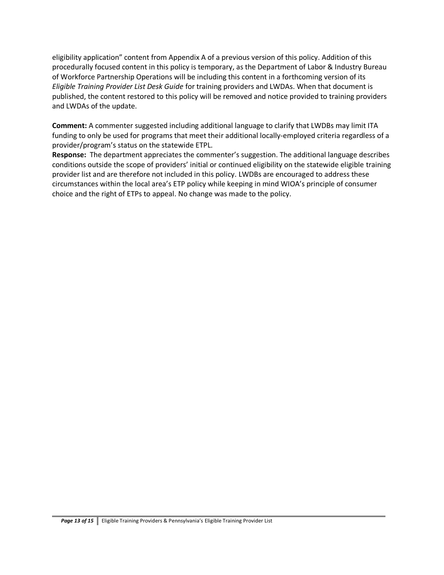eligibility application" content from Appendix A of a previous version of this policy. Addition of this procedurally focused content in this policy is temporary, as the Department of Labor & Industry Bureau of Workforce Partnership Operations will be including this content in a forthcoming version of its *Eligible Training Provider List Desk Guide* for training providers and LWDAs. When that document is published, the content restored to this policy will be removed and notice provided to training providers and LWDAs of the update.

**Comment:** A commenter suggested including additional language to clarify that LWDBs may limit ITA funding to only be used for programs that meet their additional locally-employed criteria regardless of a provider/program's status on the statewide ETPL.

**Response:** The department appreciates the commenter's suggestion. The additional language describes conditions outside the scope of providers' initial or continued eligibility on the statewide eligible training provider list and are therefore not included in this policy. LWDBs are encouraged to address these circumstances within the local area's ETP policy while keeping in mind WIOA's principle of consumer choice and the right of ETPs to appeal. No change was made to the policy.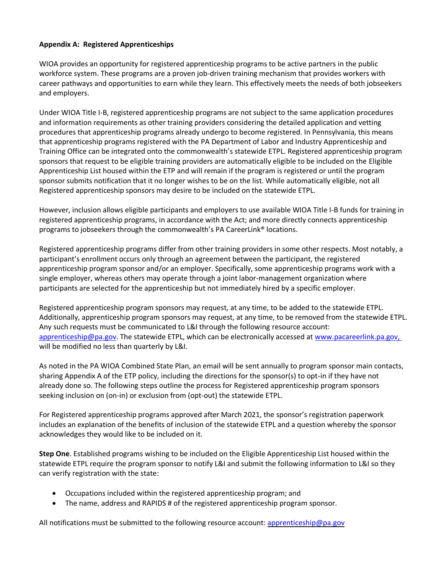### **Appendix A: Registered Apprenticeships**

WIOA provides an opportunity for registered apprenticeship programs to be active partners in the public workforce system. These programs are a proven job-driven training mechanism that provides workers with career pathways and opportunities to earn while they learn. This effectively meets the needs of both jobseekers and employers.

Under WIOA Title I-B, registered apprenticeship programs are not subject to the same application procedures and information requirements as other training providers considering the detailed application and vetting procedures that apprenticeship programs already undergo to become registered. In Pennsylvania, this means that apprenticeship programs registered with the PA Department of Labor and Industry Apprenticeship and Training Office can be integrated onto the commonwealth's statewide ETPL. Registered apprenticeship program sponsors that request to be eligible training providers are automatically eligible to be included on the Eligible Apprenticeship List housed within the ETP and will remain if the program is registered or until the program sponsor submits notification that it no longer wishes to be on the list. While automatically eligible, not all Registered apprenticeship sponsors may desire to be included on the statewide ETPL.

However, inclusion allows eligible participants and employers to use available WIOA Title I-B funds for training in registered apprenticeship programs, in accordance with the Act; and more directly connects apprenticeship programs to jobseekers through the commonwealth's PA CareerLink® locations.

Registered apprenticeship programs differ from other training providers in some other respects. Most notably, a participant's enrollment occurs only through an agreement between the participant, the registered apprenticeship program sponsor and/or an employer. Specifically, some apprenticeship programs work with a single employer, whereas others may operate through a joint labor-management organization where participants are selected for the apprenticeship but not immediately hired by a specific employer.

Registered apprenticeship program sponsors may request, at any time, to be added to the statewide ETPL. Additionally, apprenticeship program sponsors may request, at any time, to be removed from the statewide ETPL. Any such requests must be communicated to L&I through the following resource account: [apprenticeship@pa.gov.](mailto:apprenticeship@pa.gov) The statewide ETPL, which can be electronically accessed at [www.pacareerlink.pa.gov,](https://www.pacareerlink.pa.gov/) will be modified no less than quarterly by L&I.

As noted in the PA WIOA Combined State Plan, an email will be sent annually to program sponsor main contacts, sharing Appendix A of the ETP policy, including the directions for the sponsor(s) to opt-in if they have not already done so. The following steps outline the process for Registered apprenticeship program sponsors seeking inclusion on (on-in) or exclusion from (opt-out) the statewide ETPL.

For Registered apprenticeship programs approved after March 2021, the sponsor's registration paperwork includes an explanation of the benefits of inclusion of the statewide ETPL and a question whereby the sponsor acknowledges they would like to be included on it.

**Step One**. Established programs wishing to be included on the Eligible Apprenticeship List housed within the statewide ETPL require the program sponsor to notify L&I and submit the following information to L&I so they can verify registration with the state:

- Occupations included within the registered apprenticeship program; and
- The name, address and RAPIDS # of the registered apprenticeship program sponsor.

All notifications must be submitted to the following resource account: [apprenticeship@pa.gov](mailto:apprenticeship@pa.gov)